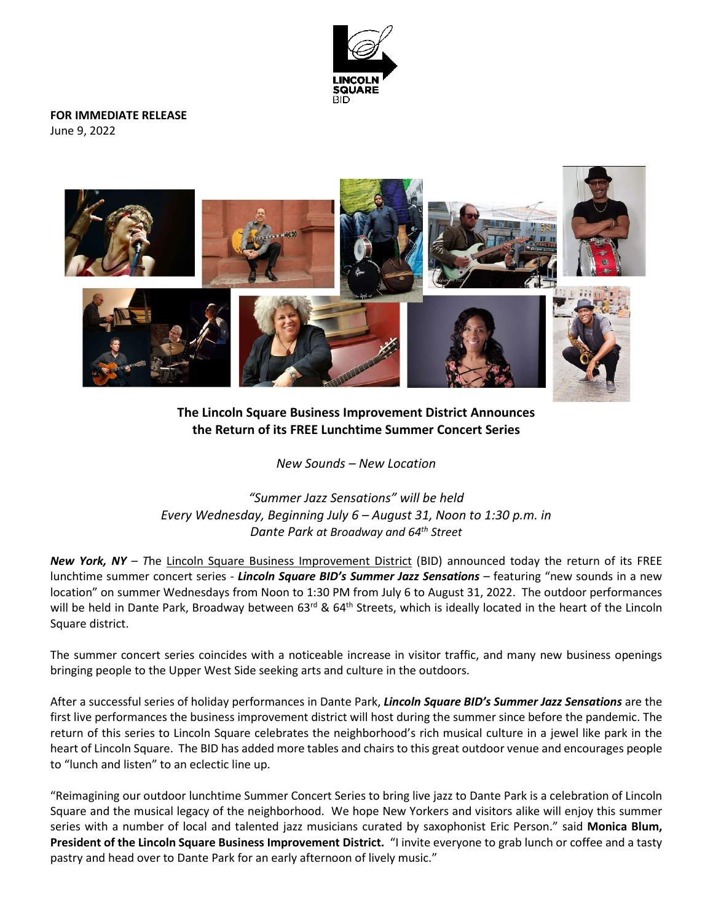

**FOR IMMEDIATE RELEASE** June 9, 2022



**The Lincoln Square Business Improvement District Announces the Return of its FREE Lunchtime Summer Concert Series**

*New Sounds – New Location*

*"Summer Jazz Sensations" will be held Every Wednesday, Beginning July 6 – August 31, Noon to 1:30 p.m. in Dante Park at Broadway and 64th Street*

*New York, NY – T*he [Lincoln Square Business Improvement District](http://lincolnsquarebid.org/) (BID) announced today the return of its FREE lunchtime summer concert series - *Lincoln Square BID's Summer Jazz Sensations* – featuring "new sounds in a new location" on summer Wednesdays from Noon to 1:30 PM from July 6 to August 31, 2022. The outdoor performances will be held in Dante Park, Broadway between 63<sup>rd</sup> & 64<sup>th</sup> Streets, which is ideally located in the heart of the Lincoln Square district.

The summer concert series coincides with a noticeable increase in visitor traffic, and many new business openings bringing people to the Upper West Side seeking arts and culture in the outdoors.

After a successful series of holiday performances in Dante Park, *Lincoln Square BID's Summer Jazz Sensations* are the first live performances the business improvement district will host during the summer since before the pandemic. The return of this series to Lincoln Square celebrates the neighborhood's rich musical culture in a jewel like park in the heart of Lincoln Square. The BID has added more tables and chairs to this great outdoor venue and encourages people to "lunch and listen" to an eclectic line up.

"Reimagining our outdoor lunchtime Summer Concert Series to bring live jazz to Dante Park is a celebration of Lincoln Square and the musical legacy of the neighborhood. We hope New Yorkers and visitors alike will enjoy this summer series with a number of local and talented jazz musicians curated by saxophonist Eric Person." said **Monica Blum, President of the Lincoln Square Business Improvement District.** "I invite everyone to grab lunch or coffee and a tasty pastry and head over to Dante Park for an early afternoon of lively music."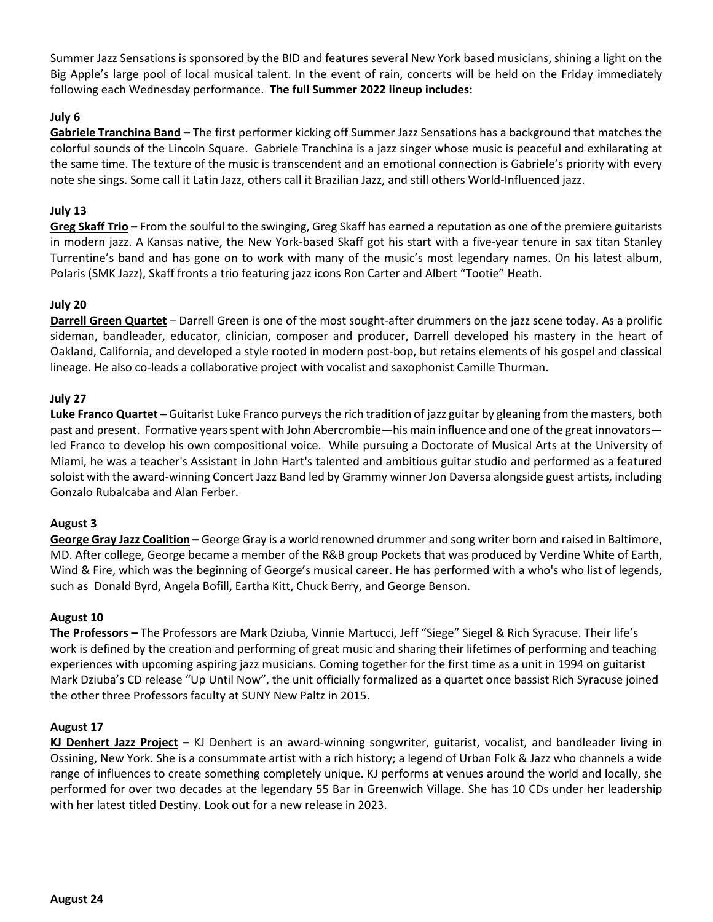Summer Jazz Sensations is sponsored by the BID and features several New York based musicians, shining a light on the Big Apple's large pool of local musical talent. In the event of rain, concerts will be held on the Friday immediately following each Wednesday performance. **The full Summer 2022 lineup includes:**

# **July 6**

**[Gabriele Tranchina Band](https://www.gabrieletranchina.com/) –** The first performer kicking off Summer Jazz Sensations has a background that matches the colorful sounds of the Lincoln Square. Gabriele Tranchina is a jazz singer whose music is peaceful and exhilarating at the same time. The texture of the music is transcendent and an emotional connection is Gabriele's priority with every note she sings. Some call it Latin Jazz, others call it Brazilian Jazz, and still others World-Influenced jazz.

### **July 13**

**[Greg Skaff Trio](https://gregskaff.com/) –** From the soulful to the swinging, Greg Skaff has earned a reputation as one of the premiere guitarists in modern jazz. A Kansas native, the New York-based Skaff got his start with a five-year tenure in sax titan Stanley Turrentine's band and has gone on to work with many of the music's most legendary names. On his latest album, Polaris (SMK Jazz), Skaff fronts a trio featuring jazz icons Ron Carter and Albert "Tootie" Heath.

#### **July 20**

**[Darrell Green Quartet](http://darrellgreen.net/)** – Darrell Green is one of the most sought-after drummers on the jazz scene today. As a prolific sideman, bandleader, educator, clinician, composer and producer, Darrell developed his mastery in the heart of Oakland, California, and developed a style rooted in modern post-bop, but retains elements of his gospel and classical lineage. He also co-leads a collaborative project with vocalist and saxophonist Camille Thurman.

#### **July 27**

**[Luke Franco Quartet](https://www.facebook.com/lukefrancomusic) –** Guitarist Luke Franco purveys the rich tradition of jazz guitar by gleaning from the masters, both past and present. Formative years spent with John Abercrombie—his main influence and one of the great innovators led Franco to develop his own compositional voice. While pursuing a Doctorate of Musical Arts at the University of Miami, he was a teacher's Assistant in John Hart's talented and ambitious guitar studio and performed as a featured soloist with the award-winning Concert Jazz Band led by Grammy winner Jon Daversa alongside guest artists, including Gonzalo Rubalcaba and Alan Ferber.

#### **August 3**

**[George Gray Jazz Coalition](https://m.facebook.com/George-Gray-Jazz-And-Funk-Coalition-102708277852611/) –** George Gray is a world renowned drummer and song writer born and raised in Baltimore, MD. After college, George became a member of the R&B group Pockets that was produced by Verdine White of Earth, Wind & Fire, which was the beginning of George's musical career. He has performed with a who's who list of legends, such as Donald Byrd, Angela Bofill, Eartha Kitt, Chuck Berry, and George Benson.

#### **August 10**

**[The Professors](https://www.professorsjazz.com/) –** The Professors are Mark Dziuba, Vinnie Martucci, Jeff "Siege" Siegel & Rich Syracuse. Their life's work is defined by the creation and performing of great music and sharing their lifetimes of performing and teaching experiences with upcoming aspiring jazz musicians. Coming together for the first time as a unit in 1994 on guitarist Mark Dziuba's CD release "Up Until Now", the unit officially formalized as a quartet once bassist Rich Syracuse joined the other three Professors faculty at SUNY New Paltz in 2015.

#### **August 17**

**[KJ Denhert Jazz Project](https://www.kjdenhert.com/) –** KJ Denhert is an award-winning songwriter, guitarist, vocalist, and bandleader living in Ossining, New York. She is a consummate artist with a rich history; a legend of Urban Folk & Jazz who channels a wide range of influences to create something completely unique. KJ performs at venues around the world and locally, she performed for over two decades at the legendary 55 Bar in Greenwich Village. She has 10 CDs under her leadership with her latest titled Destiny. Look out for a new release in 2023.